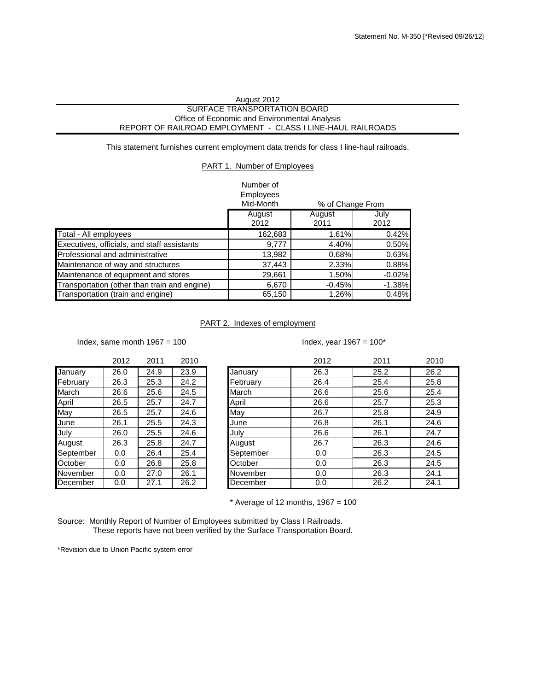## August 2012 SURFACE TRANSPORTATION BOARD Office of Economic and Environmental Analysis REPORT OF RAILROAD EMPLOYMENT - CLASS I LINE-HAUL RAILROADS

This statement furnishes current employment data trends for class I line-haul railroads.

## PART 1. Number of Employees

| Number of |  |
|-----------|--|
| E         |  |

|                                              | Employees<br>Mid-Month | % of Change From |              |
|----------------------------------------------|------------------------|------------------|--------------|
|                                              | August<br>2012         | August<br>2011   | July<br>2012 |
| Total - All employees                        | 162,683                | 1.61%            | 0.42%        |
| Executives, officials, and staff assistants  | 9.777                  | 4.40%            | 0.50%        |
| <b>Professional and administrative</b>       | 13,982                 | 0.68%            | 0.63%        |
| Maintenance of way and structures            | 37,443                 | 2.33%            | 0.88%        |
| Maintenance of equipment and stores          | 29,661                 | 1.50%            | $-0.02%$     |
| Transportation (other than train and engine) | 6,670                  | $-0.45%$         | $-1.38%$     |
| Transportation (train and engine)            | 65,150                 | 1.26%            | 0.48%        |

## PART 2. Indexes of employment

Index, same month  $1967 = 100$  Index, year  $1967 = 100^*$ 

|           | 2012 | 2011 | 2010 |           | 2012 | 2011 | 2010 |
|-----------|------|------|------|-----------|------|------|------|
| January   | 26.0 | 24.9 | 23.9 | January   | 26.3 | 25.2 | 26.2 |
| February  | 26.3 | 25.3 | 24.2 | February  | 26.4 | 25.4 | 25.8 |
| March     | 26.6 | 25.6 | 24.5 | March     | 26.6 | 25.6 | 25.4 |
| April     | 26.5 | 25.7 | 24.7 | April     | 26.6 | 25.7 | 25.3 |
| May       | 26.5 | 25.7 | 24.6 | May       | 26.7 | 25.8 | 24.9 |
| June      | 26.1 | 25.5 | 24.3 | June      | 26.8 | 26.1 | 24.6 |
| July      | 26.0 | 25.5 | 24.6 | July      | 26.6 | 26.1 | 24.7 |
| August    | 26.3 | 25.8 | 24.7 | August    | 26.7 | 26.3 | 24.6 |
| September | 0.0  | 26.4 | 25.4 | September | 0.0  | 26.3 | 24.5 |
| October   | 0.0  | 26.8 | 25.8 | October   | 0.0  | 26.3 | 24.5 |
| November  | 0.0  | 27.0 | 26.1 | November  | 0.0  | 26.3 | 24.1 |
| December  | 0.0  | 27.1 | 26.2 | December  | 0.0  | 26.2 | 24.1 |

 $*$  Average of 12 months, 1967 = 100

Source: Monthly Report of Number of Employees submitted by Class I Railroads. These reports have not been verified by the Surface Transportation Board.

\*Revision due to Union Pacific system error

|  | x, same month $1967 = 100$ |  |  |
|--|----------------------------|--|--|
|  |                            |  |  |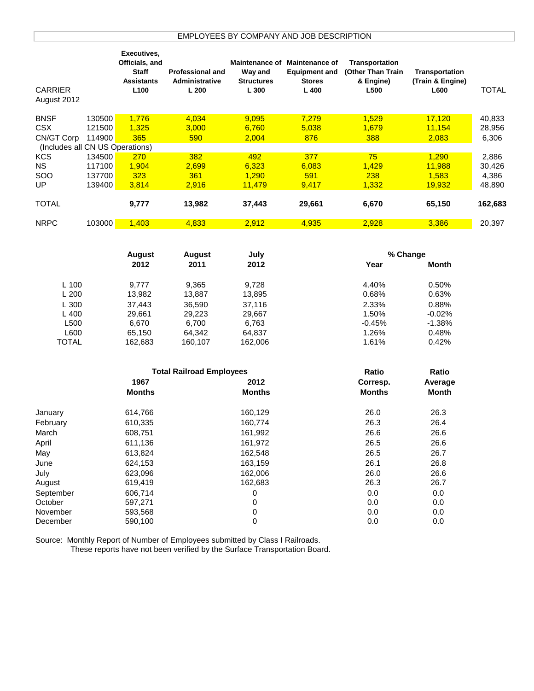|                                 |        | Executives,       |                                 |               |                               |                       |                  |              |
|---------------------------------|--------|-------------------|---------------------------------|---------------|-------------------------------|-----------------------|------------------|--------------|
|                                 |        | Officials, and    |                                 |               | Maintenance of Maintenance of | <b>Transportation</b> |                  |              |
|                                 |        | Staff             | <b>Professional and</b>         | Way and       | <b>Equipment and</b>          | (Other Than Train     | Transportation   |              |
|                                 |        | <b>Assistants</b> | Administrative                  | Structures    | <b>Stores</b>                 | & Engine)             | (Train & Engine) |              |
| <b>CARRIER</b>                  |        | L100              | L200                            | L 300         | L 400                         | L500                  | L600             | <b>TOTAL</b> |
| August 2012                     |        |                   |                                 |               |                               |                       |                  |              |
|                                 |        |                   |                                 |               |                               |                       |                  |              |
| <b>BNSF</b>                     | 130500 | 1,776             | 4,034                           | 9,095         | 7,279                         | 1,529                 | 17,120           | 40,833       |
| <b>CSX</b>                      | 121500 | 1,325             | 3,000                           | 6,760         | 5,038                         | 1,679                 | 11,154           | 28,956       |
| CN/GT Corp                      | 114900 | 365               | 590                             | 2,004         | 876                           | 388                   | 2,083            | 6,306        |
| (Includes all CN US Operations) |        |                   |                                 |               |                               |                       |                  |              |
| <b>KCS</b>                      | 134500 | 270               | 382                             | 492           | 377                           | 75                    | 1,290            | 2,886        |
| <b>NS</b>                       | 117100 | 1,904             | 2,699                           | 6,323         | 6,083                         | 1,429                 | 11,988           | 30,426       |
| SOO                             | 137700 | 323               | 361                             | 1,290         | 591                           | 238                   | 1,583            | 4,386        |
| UP                              | 139400 | 3,814             | 2,916                           | 11,479        | 9,417                         | 1,332                 | 19,932           | 48,890       |
| <b>TOTAL</b>                    |        | 9,777             | 13,982                          | 37,443        | 29,661                        | 6,670                 | 65,150           | 162,683      |
| <b>NRPC</b>                     | 103000 | 1,403             | 4,833                           | 2,912         | 4,935                         | 2,928                 | 3,386            | 20,397       |
|                                 |        |                   |                                 |               |                               |                       |                  |              |
|                                 |        |                   |                                 |               |                               |                       |                  |              |
|                                 |        | <b>August</b>     | <b>August</b>                   | July          |                               | % Change              |                  |              |
|                                 |        | 2012              | 2011                            | 2012          |                               | Year                  | <b>Month</b>     |              |
|                                 |        |                   |                                 |               |                               |                       |                  |              |
| L 100                           |        | 9,777             | 9,365                           | 9,728         |                               | 4.40%                 | 0.50%            |              |
| L 200                           |        | 13,982            | 13,887                          | 13,895        |                               | 0.68%                 | 0.63%            |              |
| L 300                           |        | 37,443            | 36,590                          | 37,116        |                               | 2.33%                 | 0.88%            |              |
| L 400                           |        | 29,661            | 29,223                          | 29,667        |                               | 1.50%                 | $-0.02%$         |              |
| L500                            |        | 6,670             | 6,700                           | 6,763         |                               | $-0.45%$              | $-1.38%$         |              |
| L600                            |        | 65,150            | 64,342                          | 64,837        |                               | 1.26%                 | 0.48%            |              |
| <b>TOTAL</b>                    |        | 162,683           | 160,107                         | 162,006       |                               | 1.61%                 | 0.42%            |              |
|                                 |        |                   |                                 |               |                               |                       |                  |              |
|                                 |        |                   | <b>Total Railroad Employees</b> |               |                               | Ratio                 | Ratio            |              |
|                                 |        | 1967              |                                 | 2012          |                               | Corresp.              | Average          |              |
|                                 |        | <b>Months</b>     |                                 | <b>Months</b> |                               | <b>Months</b>         | Month            |              |
|                                 |        |                   |                                 |               |                               |                       |                  |              |
| January                         |        | 614,766           |                                 | 160,129       |                               | 26.0                  | 26.3             |              |
| February                        |        | 610,335           |                                 | 160,774       |                               | 26.3                  | 26.4             |              |
| March                           |        | 608,751           |                                 | 161,992       |                               | 26.6                  | 26.6             |              |
| April                           |        | 611,136           |                                 | 161,972       |                               | 26.5                  | 26.6             |              |
| May                             |        | 613,824           |                                 | 162,548       |                               | 26.5                  | 26.7             |              |
| June                            |        | 624,153           |                                 | 163,159       |                               | 26.1                  | 26.8             |              |
| July                            |        | 623,096           |                                 | 162,006       |                               | 26.0                  | 26.6             |              |
| August                          |        | 619,419           |                                 | 162,683       |                               | 26.3                  | 26.7             |              |
| September                       |        | 606,714           |                                 | 0             |                               | 0.0                   | 0.0              |              |
| October                         |        | 597,271           |                                 | 0             |                               | 0.0                   | 0.0              |              |
| November                        |        | 593,568           |                                 | 0             |                               | 0.0                   | 0.0              |              |
| December                        |        | 590,100           |                                 | 0             |                               | 0.0                   | 0.0              |              |
|                                 |        |                   |                                 |               |                               |                       |                  |              |

Source: Monthly Report of Number of Employees submitted by Class I Railroads.

These reports have not been verified by the Surface Transportation Board.